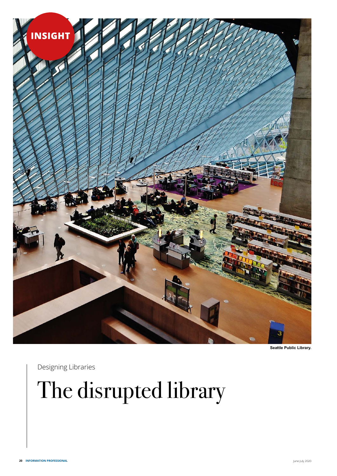

**Seattle Public Library.**

Designing Libraries

## The disrupted library